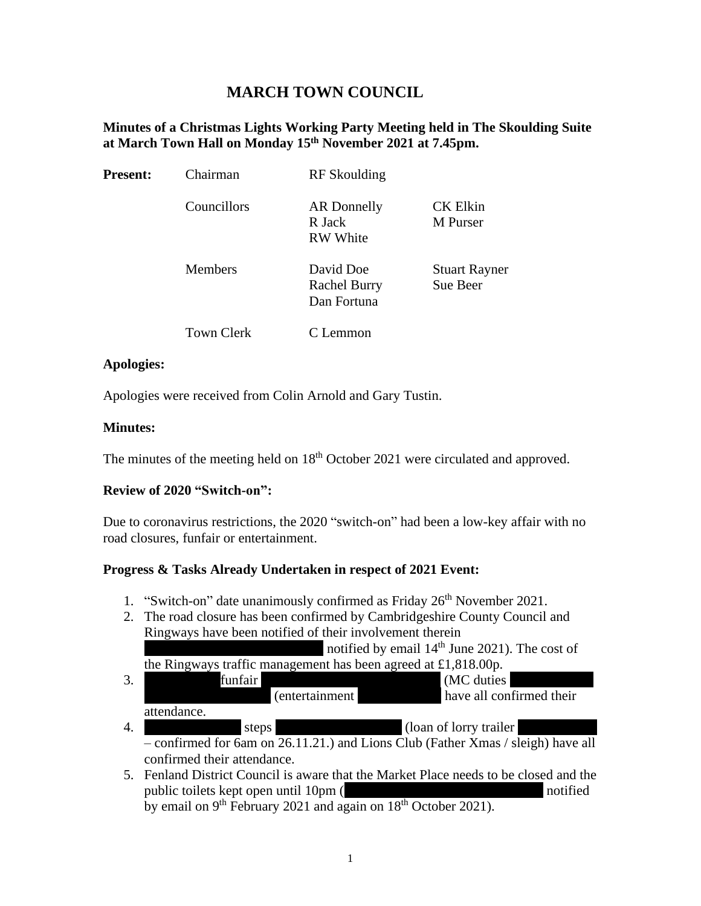# **MARCH TOWN COUNCIL**

#### **Minutes of a Christmas Lights Working Party Meeting held in The Skoulding Suite at March Town Hall on Monday 15 th November 2021 at 7.45pm.**

| <b>Present:</b> | Chairman          | RF Skoulding                                    |                                  |
|-----------------|-------------------|-------------------------------------------------|----------------------------------|
|                 | Councillors       | AR Donnelly<br>R Jack<br><b>RW</b> White        | <b>CK Elkin</b><br>M Purser      |
|                 | <b>Members</b>    | David Doe<br><b>Rachel Burry</b><br>Dan Fortuna | <b>Stuart Rayner</b><br>Sue Beer |
|                 | <b>Town Clerk</b> | Lemmon                                          |                                  |

#### **Apologies:**

Apologies were received from Colin Arnold and Gary Tustin.

#### **Minutes:**

The minutes of the meeting held on 18<sup>th</sup> October 2021 were circulated and approved.

## **Review of 2020 "Switch-on":**

Due to coronavirus restrictions, the 2020 "switch-on" had been a low-key affair with no road closures, funfair or entertainment.

## **Progress & Tasks Already Undertaken in respect of 2021 Event:**

- 1. "Switch-on" date unanimously confirmed as Friday  $26<sup>th</sup>$  November 2021.
- 2. The road closure has been confirmed by Cambridgeshire County Council and Ringways have been notified of their involvement therein notified by email  $14<sup>th</sup>$  June 2021). The cost of

the Ringways traffic management has been agreed at £1,818.00p.

| $\mathfrak{Z}$ . |             | funfair |                | (MC duties               |  |
|------------------|-------------|---------|----------------|--------------------------|--|
|                  |             |         | (entertainment | have all confirmed their |  |
|                  | attendance. |         |                |                          |  |
| 4.               |             | steps   |                | (loan of lorry trailer)  |  |

- confirmed for 6am on 26.11.21.) and Lions Club (Father Xmas / sleigh) have all confirmed their attendance.
- 5. Fenland District Council is aware that the Market Place needs to be closed and the public toilets kept open until 10pm (Islamic Edgin Edgin and Layer notified by email on 9<sup>th</sup> February 2021 and again on 18<sup>th</sup> October 2021).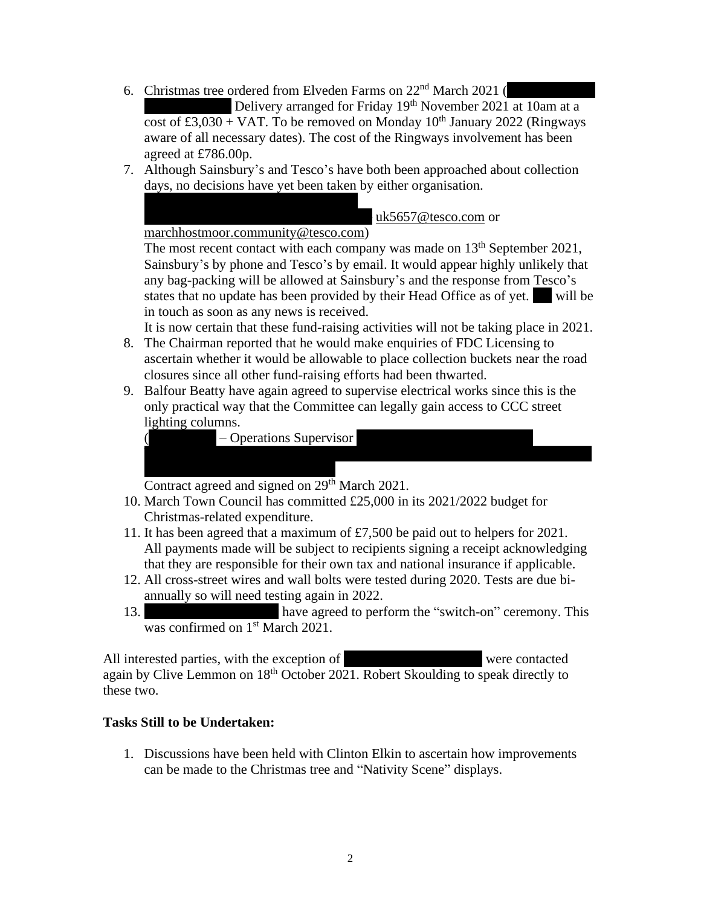6. Christmas tree ordered from Elveden Farms on  $22<sup>nd</sup>$  March 2021 (

Delivery arranged for Friday 19<sup>th</sup> November 2021 at 10am at a cost of £3,030 + VAT. To be removed on Monday  $10^{th}$  January 2022 (Ringways aware of all necessary dates). The cost of the Ringways involvement has been agreed at £786.00p.

7. Although Sainsbury's and Tesco's have both been approached about collection days, no decisions have yet been taken by either organisation.

[uk5657@tesco.com](mailto:uk5657@tesco.com) or

[marchhostmoor.community@tesco.com\)](mailto:marchhostmoor.community@tesco.com)

The most recent contact with each company was made on  $13<sup>th</sup>$  September 2021, Sainsbury's by phone and Tesco's by email. It would appear highly unlikely that any bag-packing will be allowed at Sainsbury's and the response from Tesco's states that no update has been provided by their Head Office as of yet. Will be in touch as soon as any news is received.

It is now certain that these fund-raising activities will not be taking place in 2021.

- 8. The Chairman reported that he would make enquiries of FDC Licensing to ascertain whether it would be allowable to place collection buckets near the road closures since all other fund-raising efforts had been thwarted.
- 9. Balfour Beatty have again agreed to supervise electrical works since this is the only practical way that the Committee can legally gain access to CCC street lighting columns.

|  | – Operations Supervisor |
|--|-------------------------|
|--|-------------------------|

Contract agreed and signed on 29<sup>th</sup> March 2021.

- 10. March Town Council has committed £25,000 in its 2021/2022 budget for Christmas-related expenditure.
- 11. It has been agreed that a maximum of £7,500 be paid out to helpers for 2021. All payments made will be subject to recipients signing a receipt acknowledging that they are responsible for their own tax and national insurance if applicable.
- 12. All cross-street wires and wall bolts were tested during 2020. Tests are due biannually so will need testing again in 2022.
- 13. have agreed to perform the "switch-on" ceremony. This was confirmed on 1<sup>st</sup> March 2021.

All interested parties, with the exception of were contacted again by Clive Lemmon on 18th October 2021. Robert Skoulding to speak directly to these two.

## **Tasks Still to be Undertaken:**

1. Discussions have been held with Clinton Elkin to ascertain how improvements can be made to the Christmas tree and "Nativity Scene" displays.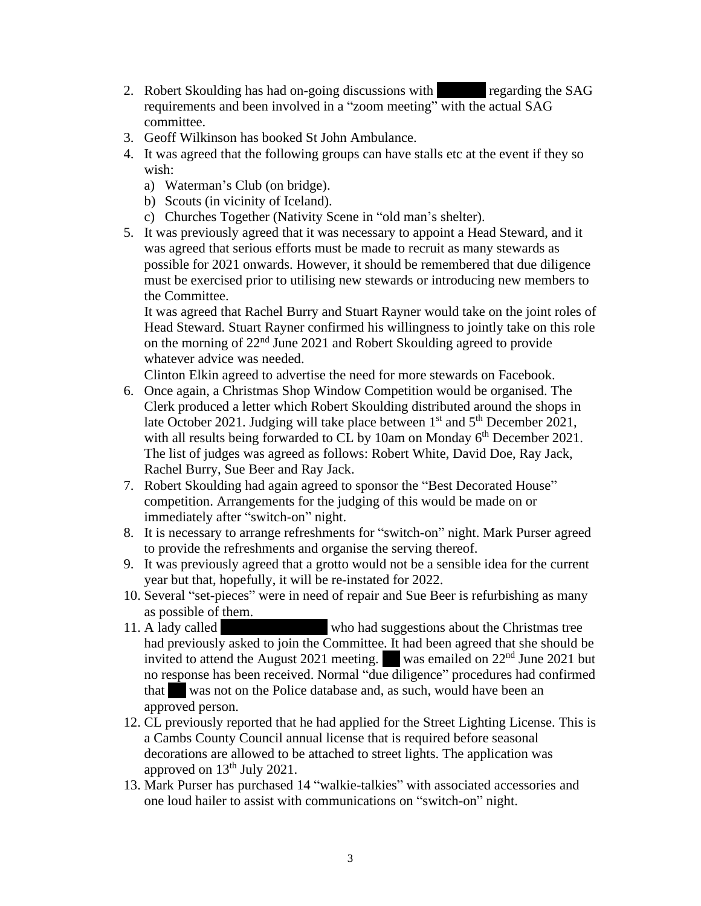- 2. Robert Skoulding has had on-going discussions with regarding the SAG requirements and been involved in a "zoom meeting" with the actual SAG committee.
- 3. Geoff Wilkinson has booked St John Ambulance.
- 4. It was agreed that the following groups can have stalls etc at the event if they so wish:
	- a) Waterman's Club (on bridge).
	- b) Scouts (in vicinity of Iceland).
	- c) Churches Together (Nativity Scene in "old man's shelter).
- 5. It was previously agreed that it was necessary to appoint a Head Steward, and it was agreed that serious efforts must be made to recruit as many stewards as possible for 2021 onwards. However, it should be remembered that due diligence must be exercised prior to utilising new stewards or introducing new members to the Committee.

It was agreed that Rachel Burry and Stuart Rayner would take on the joint roles of Head Steward. Stuart Rayner confirmed his willingness to jointly take on this role on the morning of 22nd June 2021 and Robert Skoulding agreed to provide whatever advice was needed.

Clinton Elkin agreed to advertise the need for more stewards on Facebook.

- 6. Once again, a Christmas Shop Window Competition would be organised. The Clerk produced a letter which Robert Skoulding distributed around the shops in late October 2021. Judging will take place between  $1<sup>st</sup>$  and  $5<sup>th</sup>$  December 2021, with all results being forwarded to CL by 10am on Monday  $6<sup>th</sup>$  December 2021. The list of judges was agreed as follows: Robert White, David Doe, Ray Jack, Rachel Burry, Sue Beer and Ray Jack.
- 7. Robert Skoulding had again agreed to sponsor the "Best Decorated House" competition. Arrangements for the judging of this would be made on or immediately after "switch-on" night.
- 8. It is necessary to arrange refreshments for "switch-on" night. Mark Purser agreed to provide the refreshments and organise the serving thereof.
- 9. It was previously agreed that a grotto would not be a sensible idea for the current year but that, hopefully, it will be re-instated for 2022.
- 10. Several "set-pieces" were in need of repair and Sue Beer is refurbishing as many as possible of them.
- 11. A lady called who had suggestions about the Christmas tree had previously asked to join the Committee. It had been agreed that she should be invited to attend the August 2021 meeting. Was emailed on  $22<sup>nd</sup>$  June 2021 but no response has been received. Normal "due diligence" procedures had confirmed that Was not on the Police database and, as such, would have been an approved person.
- 12. CL previously reported that he had applied for the Street Lighting License. This is a Cambs County Council annual license that is required before seasonal decorations are allowed to be attached to street lights. The application was approved on  $13<sup>th</sup>$  July 2021.
- 13. Mark Purser has purchased 14 "walkie-talkies" with associated accessories and one loud hailer to assist with communications on "switch-on" night.